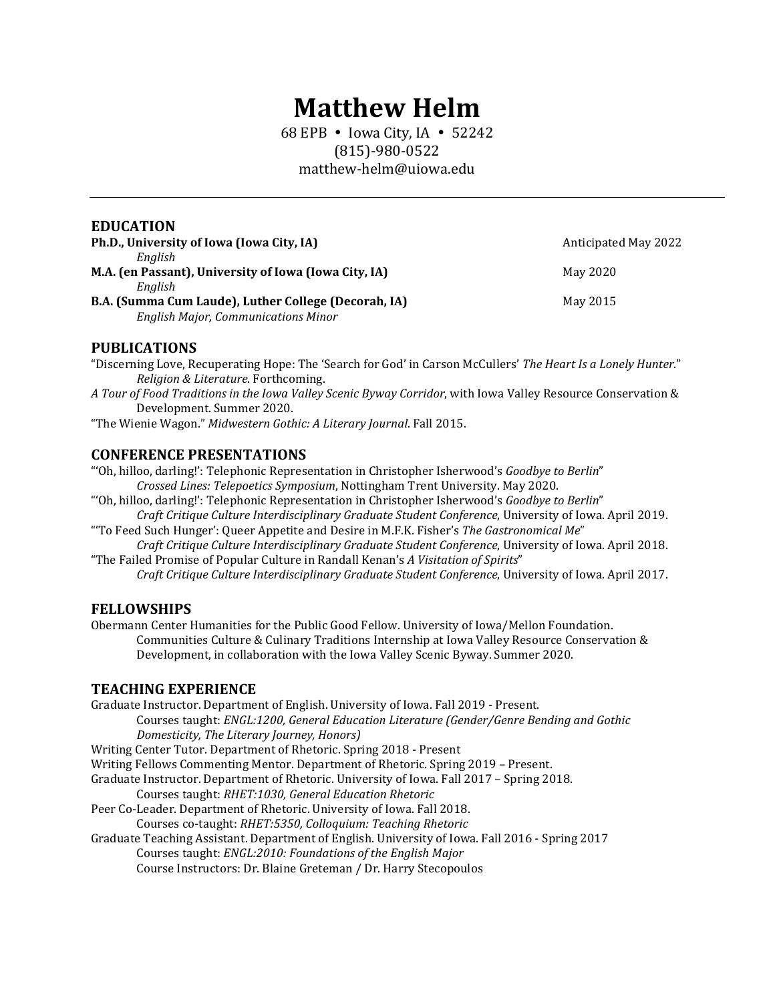# **Matthew Helm**

68 EPB • Iowa City, IA • 52242 (815)-980-0522 matthew-helm@uiowa.edu

#### **EDUCATION**

| Ph.D., University of Iowa (Iowa City, IA)                                                          | Anticipated May 2022 |
|----------------------------------------------------------------------------------------------------|----------------------|
| Enalish<br>M.A. (en Passant), University of Iowa (Iowa City, IA)                                   | May 2020             |
| Enalish                                                                                            |                      |
| B.A. (Summa Cum Laude), Luther College (Decorah, IA)<br><b>English Major, Communications Minor</b> | May 2015             |

#### **PUBLICATIONS**

"Discerning Love, Recuperating Hope: The 'Search for God' in Carson McCullers' *The Heart Is a Lonely Hunter.*" *Religion & Literature*. Forthcoming.

*A Tour of Food Traditions in the Iowa Valley Scenic Byway Corridor*, with Iowa Valley Resource Conservation & Development. Summer 2020.

"The Wienie Wagon." *Midwestern Gothic: A Literary Journal*. Fall 2015.

#### **CONFERENCE PRESENTATIONS**

"'Oh, hilloo, darling!': Telephonic Representation in Christopher Isherwood's *Goodbye to Berlin*" *Crossed Lines: Telepoetics Symposium*, Nottingham Trent University. May 2020.

"'Oh, hilloo, darling!': Telephonic Representation in Christopher Isherwood's *Goodbye to Berlin*" *Craft Critique Culture Interdisciplinary Graduate Student Conference*, University of Iowa. April 2019.

- "'To Feed Such Hunger': Queer Appetite and Desire in M.F.K. Fisher's *The Gastronomical Me*" *Craft Critique Culture Interdisciplinary Graduate Student Conference*, University of Iowa. April 2018.
- "The Failed Promise of Popular Culture in Randall Kenan's *A Visitation of Spirits*" *Craft Critique Culture Interdisciplinary Graduate Student Conference*, University of Iowa. April 2017.

#### **FELLOWSHIPS**

Obermann Center Humanities for the Public Good Fellow. University of Iowa/Mellon Foundation. Communities Culture & Culinary Traditions Internship at Iowa Valley Resource Conservation & Development, in collaboration with the Iowa Valley Scenic Byway. Summer 2020.

#### **TEACHING EXPERIENCE**

Graduate Instructor. Department of English. University of Iowa. Fall 2019 - Present. Courses taught: *ENGL:1200, General Education Literature (Gender/Genre Bending and Gothic Domesticity, The Literary Journey, Honors)* Writing Center Tutor. Department of Rhetoric. Spring 2018 - Present Writing Fellows Commenting Mentor. Department of Rhetoric. Spring 2019 – Present. Graduate Instructor. Department of Rhetoric. University of Iowa. Fall 2017 – Spring 2018. Courses taught: *RHET:1030, General Education Rhetoric* Peer Co-Leader. Department of Rhetoric. University of Iowa. Fall 2018. Courses co-taught: *RHET:5350, Colloquium: Teaching Rhetoric* Graduate Teaching Assistant. Department of English. University of Iowa. Fall 2016 - Spring 2017 Courses taught: *ENGL:2010: Foundations of the English Major* Course Instructors: Dr. Blaine Greteman / Dr. Harry Stecopoulos